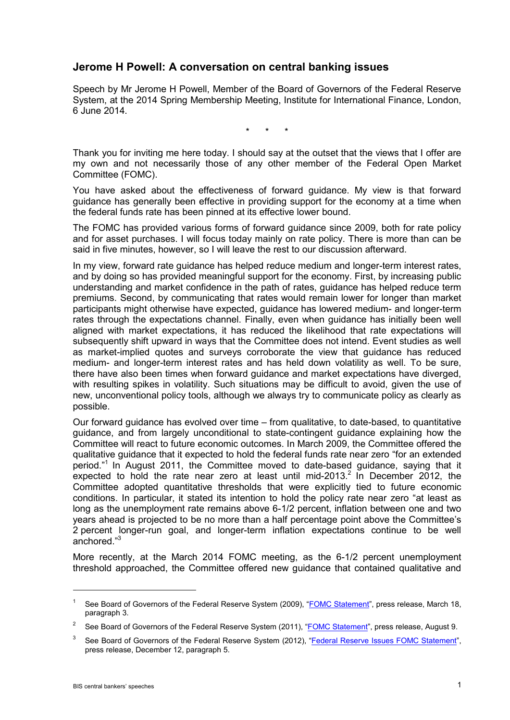## **Jerome H Powell: A conversation on central banking issues**

Speech by Mr Jerome H Powell, Member of the Board of Governors of the Federal Reserve System, at the 2014 Spring Membership Meeting, Institute for International Finance, London, 6 June 2014.

\* \* \*

Thank you for inviting me here today. I should say at the outset that the views that I offer are my own and not necessarily those of any other member of the Federal Open Market Committee (FOMC).

You have asked about the effectiveness of forward guidance. My view is that forward guidance has generally been effective in providing support for the economy at a time when the federal funds rate has been pinned at its effective lower bound.

The FOMC has provided various forms of forward guidance since 2009, both for rate policy and for asset purchases. I will focus today mainly on rate policy. There is more than can be said in five minutes, however, so I will leave the rest to our discussion afterward.

In my view, forward rate guidance has helped reduce medium and longer-term interest rates, and by doing so has provided meaningful support for the economy. First, by increasing public understanding and market confidence in the path of rates, guidance has helped reduce term premiums. Second, by communicating that rates would remain lower for longer than market participants might otherwise have expected, guidance has lowered medium- and longer-term rates through the expectations channel. Finally, even when guidance has initially been well aligned with market expectations, it has reduced the likelihood that rate expectations will subsequently shift upward in ways that the Committee does not intend. Event studies as well as market-implied quotes and surveys corroborate the view that guidance has reduced medium- and longer-term interest rates and has held down volatility as well. To be sure, there have also been times when forward guidance and market expectations have diverged, with resulting spikes in volatility. Such situations may be difficult to avoid, given the use of new, unconventional policy tools, although we always try to communicate policy as clearly as possible.

Our forward guidance has evolved over time – from qualitative, to date-based, to quantitative guidance, and from largely unconditional to state-contingent guidance explaining how the Committee will react to future economic outcomes. In March 2009, the Committee offered the qualitative guidance that it expected to hold the federal funds rate near zero "for an extended period." <sup>1</sup> In August 2011, the Committee moved to date-based guidance, saying that it expected to hold the rate near zero at least until mid-2013.<sup>2</sup> In December 2012, the Committee adopted quantitative thresholds that were explicitly tied to future economic conditions. In particular, it stated its intention to hold the policy rate near zero "at least as long as the unemployment rate remains above 6-1/2 percent, inflation between one and two years ahead is projected to be no more than a half percentage point above the Committee's 2 percent longer-run goal, and longer-term inflation expectations continue to be well anchored." 3

More recently, at the March 2014 FOMC meeting, as the 6-1/2 percent unemployment threshold approached, the Committee offered new guidance that contained qualitative and

-

<sup>&</sup>lt;sup>1</sup> See Board of Governors of the Federal Reserve System (2009), ["FOMC Statement"](http://www.federalreserve.gov/newsevents/press/monetary/20090318a.htm), press release, March 18, paragraph 3.

<sup>2</sup> See Board of Governors of the Federal Reserve System (2011), ["FOMC Statement"](http://www.federalreserve.gov/newsevents/press/monetary/20110809a.htm), press release, August 9.

See Board of Governors of the Federal Reserve System (2012), ["Federal Reserve Issues FOMC Statement"](http://www.federalreserve.gov/newsevents/press/monetary/20121212a.htm), press release, December 12, paragraph 5.